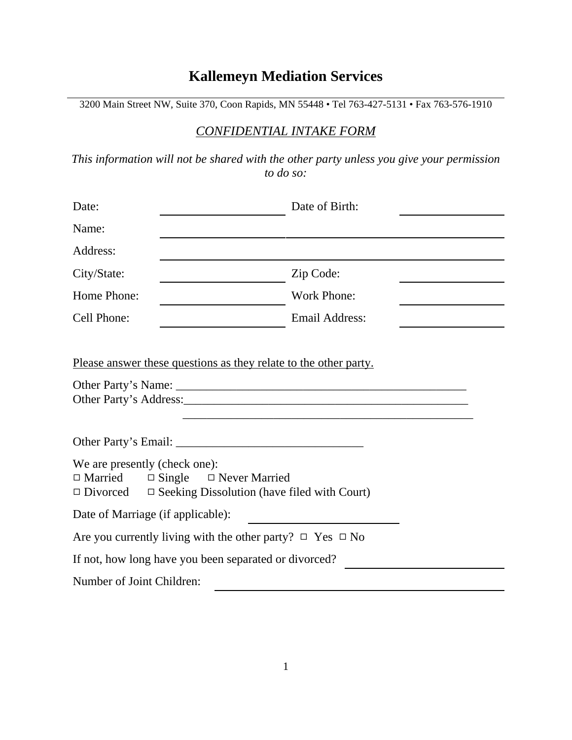## **Kallemeyn Mediation Services**

3200 Main Street NW, Suite 370, Coon Rapids, MN 55448 • Tel 763-427-5131 • Fax 763-576-1910

## *CONFIDENTIAL INTAKE FORM*

*This information will not be shared with the other party unless you give your permission to do so:*

| Date:                                                                                                                                                    | Date of Birth:        |
|----------------------------------------------------------------------------------------------------------------------------------------------------------|-----------------------|
| Name:                                                                                                                                                    |                       |
| Address:                                                                                                                                                 |                       |
| City/State:                                                                                                                                              | Zip Code:             |
| Home Phone:                                                                                                                                              | <b>Work Phone:</b>    |
| Cell Phone:                                                                                                                                              | <b>Email Address:</b> |
| <u>Please answer these questions as they relate to the other party.</u>                                                                                  |                       |
|                                                                                                                                                          |                       |
| We are presently (check one):<br>$\Box$ Married $\Box$ Single $\Box$ Never Married<br>$\Box$ Divorced $\Box$ Seeking Dissolution (have filed with Court) |                       |
| Date of Marriage (if applicable):                                                                                                                        |                       |
| Are you currently living with the other party? $\Box$ Yes $\Box$ No                                                                                      |                       |
| If not, how long have you been separated or divorced?                                                                                                    |                       |
| Number of Joint Children:                                                                                                                                |                       |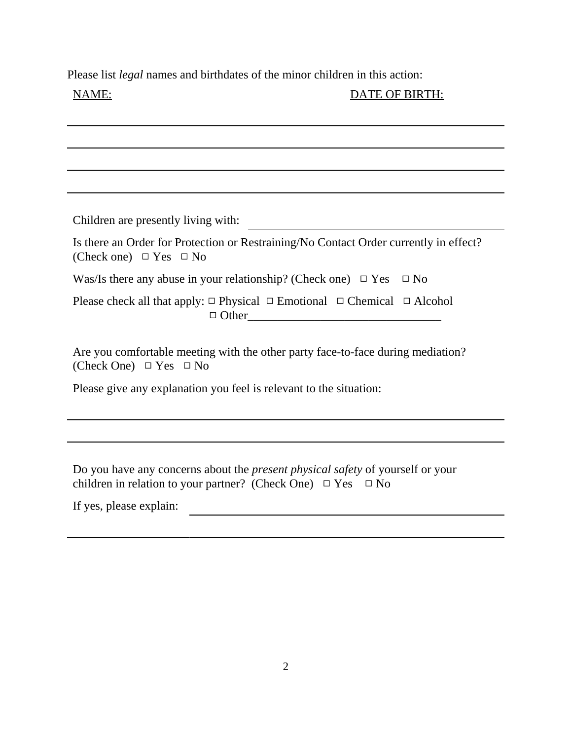Please list *legal* names and birthdates of the minor children in this action:

## NAME: DATE OF BIRTH:

Children are presently living with:

Is there an Order for Protection or Restraining/No Contact Order currently in effect? (Check one)  $\Box$  Yes  $\Box$  No

Was/Is there any abuse in your relationship? (Check one)  $\Box$  Yes  $\Box$  No

Please check all that apply:  $\Box$  Physical  $\Box$  Emotional  $\Box$  Chemical  $\Box$  Alcohol 9 Other\_\_\_\_\_\_\_\_\_\_\_\_\_\_\_\_\_\_\_\_\_\_\_\_\_\_\_\_\_\_\_\_

Are you comfortable meeting with the other party face-to-face during mediation? (Check One)  $\Box$  Yes  $\Box$  No

Please give any explanation you feel is relevant to the situation:

Do you have any concerns about the *present physical safety* of yourself or your children in relation to your partner? (Check One)  $\Box$  Yes  $\Box$  No

If yes, please explain: